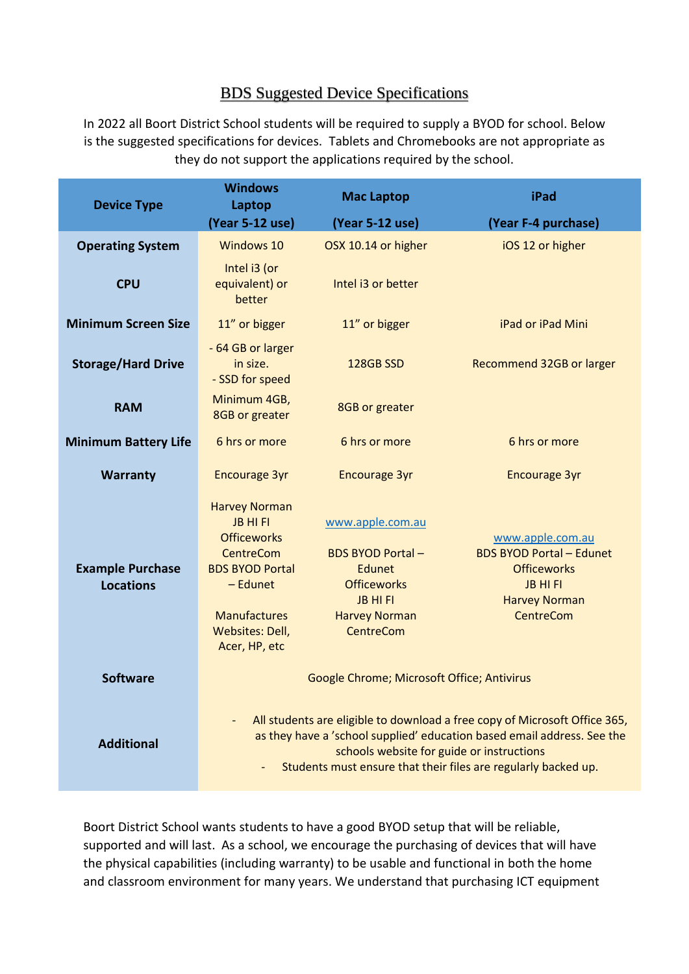## BDS Suggested Device Specifications

In 2022 all Boort District School students will be required to supply a BYOD for school. Below is the suggested specifications for devices. Tablets and Chromebooks are not appropriate as they do not support the applications required by the school.

| <b>Device Type</b>                          | <b>Windows</b><br>Laptop                                                                                                                                                                                                                                                                         | <b>Mac Laptop</b>                                                                                                                         | iPad                                                                                                                              |
|---------------------------------------------|--------------------------------------------------------------------------------------------------------------------------------------------------------------------------------------------------------------------------------------------------------------------------------------------------|-------------------------------------------------------------------------------------------------------------------------------------------|-----------------------------------------------------------------------------------------------------------------------------------|
|                                             | (Year 5-12 use)                                                                                                                                                                                                                                                                                  | (Year 5-12 use)                                                                                                                           | (Year F-4 purchase)                                                                                                               |
| <b>Operating System</b>                     | <b>Windows 10</b>                                                                                                                                                                                                                                                                                | OSX 10.14 or higher                                                                                                                       | iOS 12 or higher                                                                                                                  |
| <b>CPU</b>                                  | Intel i3 (or<br>equivalent) or<br>better                                                                                                                                                                                                                                                         | Intel i3 or better                                                                                                                        |                                                                                                                                   |
| <b>Minimum Screen Size</b>                  | 11" or bigger                                                                                                                                                                                                                                                                                    | 11" or bigger                                                                                                                             | iPad or iPad Mini                                                                                                                 |
| <b>Storage/Hard Drive</b>                   | - 64 GB or larger<br>in size.<br>- SSD for speed                                                                                                                                                                                                                                                 | <b>128GB SSD</b>                                                                                                                          | Recommend 32GB or larger                                                                                                          |
| <b>RAM</b>                                  | Minimum 4GB,<br>8GB or greater                                                                                                                                                                                                                                                                   | 8GB or greater                                                                                                                            |                                                                                                                                   |
| <b>Minimum Battery Life</b>                 | 6 hrs or more                                                                                                                                                                                                                                                                                    | 6 hrs or more                                                                                                                             | 6 hrs or more                                                                                                                     |
| <b>Warranty</b>                             | <b>Encourage 3yr</b>                                                                                                                                                                                                                                                                             | <b>Encourage 3yr</b>                                                                                                                      | <b>Encourage 3yr</b>                                                                                                              |
| <b>Example Purchase</b><br><b>Locations</b> | <b>Harvey Norman</b><br><b>JB HI FI</b><br><b>Officeworks</b><br><b>CentreCom</b><br><b>BDS BYOD Portal</b><br>- Edunet<br><b>Manufactures</b><br>Websites: Dell,<br>Acer, HP, etc                                                                                                               | www.apple.com.au<br><b>BDS BYOD Portal-</b><br>Edunet<br><b>Officeworks</b><br><b>JB HIFI</b><br><b>Harvey Norman</b><br><b>CentreCom</b> | www.apple.com.au<br><b>BDS BYOD Portal - Edunet</b><br><b>Officeworks</b><br>JB HI FI<br><b>Harvey Norman</b><br><b>CentreCom</b> |
| <b>Software</b>                             | Google Chrome; Microsoft Office; Antivirus                                                                                                                                                                                                                                                       |                                                                                                                                           |                                                                                                                                   |
| <b>Additional</b>                           | All students are eligible to download a free copy of Microsoft Office 365,<br>$\overline{\phantom{a}}$<br>as they have a 'school supplied' education based email address. See the<br>schools website for guide or instructions<br>Students must ensure that their files are regularly backed up. |                                                                                                                                           |                                                                                                                                   |

Boort District School wants students to have a good BYOD setup that will be reliable, supported and will last. As a school, we encourage the purchasing of devices that will have the physical capabilities (including warranty) to be usable and functional in both the home and classroom environment for many years. We understand that purchasing ICT equipment